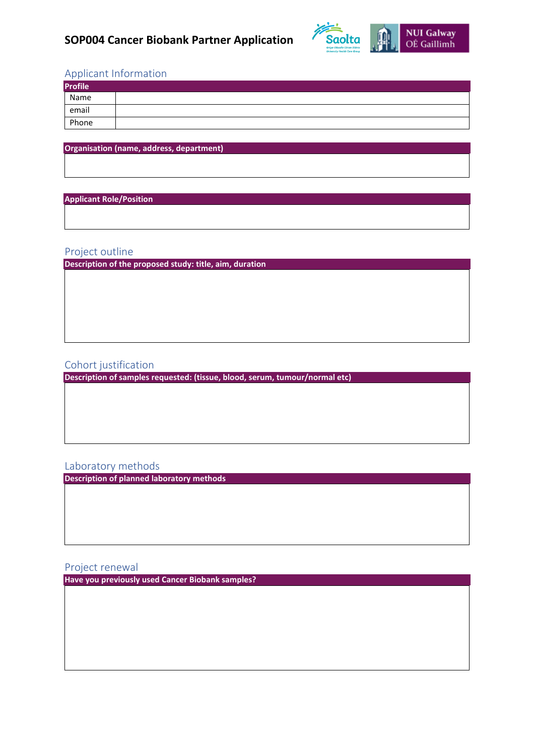

# Applicant Information

| <b>Profile</b> |  |
|----------------|--|
| Name           |  |
| email          |  |
| Phone          |  |

**Organisation (name, address, department)**

#### **Applicant Role/Position**

### Project outline

**Description of the proposed study: title, aim, duration**

## Cohort justification

**Description of samples requested: (tissue, blood, serum, tumour/normal etc)**

## Laboratory methods

**Description of planned laboratory methods** 

Project renewal

**Have you previously used Cancer Biobank samples?**